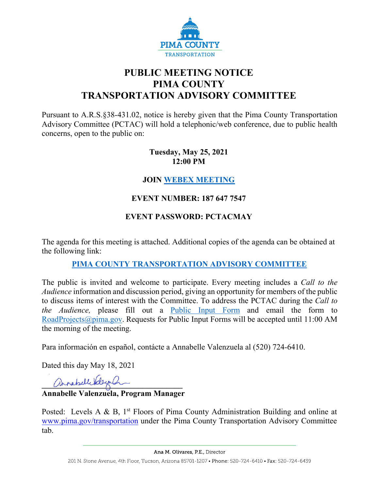

# **PUBLIC MEETING NOTICE PIMA COUNTY TRANSPORTATION ADVISORY COMMITTEE**

Pursuant to A.R.S.§38-431.02, notice is hereby given that the Pima County Transportation Advisory Committee (PCTAC) will hold a telephonic/web conference, due to public health concerns, open to the public on:

#### **Tuesday, May 25, 2021 12:00 PM**

#### **JOIN [WEBEX MEETING](https://pimacounty.webex.com/mw3300/mywebex/default.do?siteurl=pimacounty&service=6)**

## **EVENT NUMBER: 187 647 7547**

## **EVENT PASSWORD: PCTACMAY**

The agenda for this meeting is attached. Additional copies of the agenda can be obtained at the following link:

#### **[PIMA COUNTY TRANSPORTATION ADVISORY COMMITTEE](https://webcms.pima.gov/cms/One.aspx?portalId=169&pageId=355530)**

The public is invited and welcome to participate. Every meeting includes a *Call to the Audience* information and discussion period, giving an opportunity for members of the public to discuss items of interest with the Committee. To address the PCTAC during the *Call to the Audience,* please fill out a [Public Input](https://webcms.pima.gov/UserFiles/Servers/Server_6/File/Government/Transportation/TransportationAdvisoryCommittee/PCTAC_Speaker_Card.pdf) Form and email the form to [RoadProjects@pima.gov.](mailto:RoadProjects@pima.gov) Requests for Public Input Forms will be accepted until 11:00 AM the morning of the meeting.

Para información en español, contácte a Annabelle Valenzuela al (520) 724-6410.

Dated this day May 18, 2021

annabelle belove a

## **Annabelle Valenzuela, Program Manager**

Posted: Levels A & B,  $1<sup>st</sup>$  Floors of Pima County Administration Building and online at [www.pima.gov/transportation](http://www.pima.gov/transportation) under the Pima County Transportation Advisory Committee tab.